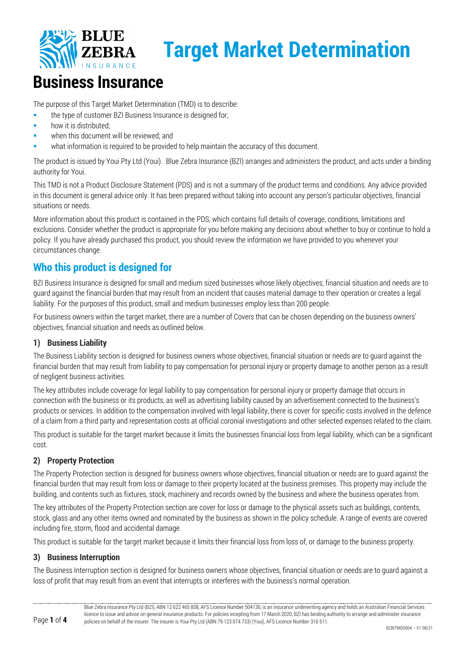

## **Business Insurance**

The purpose of this Target Market Determination (TMD) is to describe:

- **the type of customer BZI Business Insurance is designed for;**
- how it is distributed;
- when this document will be reviewed; and
- what information is required to be provided to help maintain the accuracy of this document.

The product is issued by Youi Pty Ltd (Youi). Blue Zebra Insurance (BZI) arranges and administers the product, and acts under a binding authority for Youi.

This TMD is not a Product Disclosure Statement (PDS) and is not a summary of the product terms and conditions. Any advice provided in this document is general advice only. It has been prepared without taking into account any person's particular objectives, financial situations or needs.

More information about this product is contained in the PDS, which contains full details of coverage, conditions, limitations and exclusions. Consider whether the product is appropriate for you before making any decisions about whether to buy or continue to hold a policy. If you have already purchased this product, you should review the information we have provided to you whenever your circumstances change.

## **Who this product is designed for**

BZI Business Insurance is designed for small and medium sized businesses whose likely objectives, financial situation and needs are to guard against the financial burden that may result from an incident that causes material damage to their operation or creates a legal liability. For the purposes of this product, small and medium businesses employ less than 200 people.

For business owners within the target market, there are a number of Covers that can be chosen depending on the business owners' objectives, financial situation and needs as outlined below.

#### **1) Business Liability**

The Business Liability section is designed for business owners whose objectives, financial situation or needs are to guard against the financial burden that may result from liability to pay compensation for personal injury or property damage to another person as a result of negligent business activities.

The key attributes include coverage for legal liability to pay compensation for personal injury or property damage that occurs in connection with the business or its products, as well as advertising liability caused by an advertisement connected to the business's products or services. In addition to the compensation involved with legal liability, there is cover for specific costs involved in the defence of a claim from a third party and representation costs at official coronial investigations and other selected expenses related to the claim.

This product is suitable for the target market because it limits the businesses financial loss from legal liability, which can be a significant cost.

#### **2) Property Protection**

The Property Protection section is designed for business owners whose objectives, financial situation or needs are to guard against the financial burden that may result from loss or damage to their property located at the business premises. This property may include the building, and contents such as fixtures, stock, machinery and records owned by the business and where the business operates from.

The key attributes of the Property Protection section are cover for loss or damage to the physical assets such as buildings, contents, stock, glass and any other items owned and nominated by the business as shown in the policy schedule. A range of events are covered including fire, storm, flood and accidental damage.

This product is suitable for the target market because it limits their financial loss from loss of, or damage to the business property.

#### **3) Business Interruption**

The Business Interruption section is designed for business owners whose objectives, financial situation or needs are to guard against a loss of profit that may result from an event that interrupts or interferes with the business's normal operation.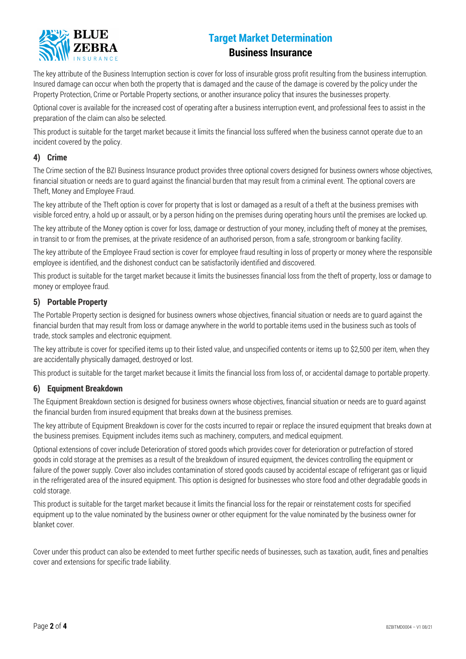

#### **Business Insurance**

The key attribute of the Business Interruption section is cover for loss of insurable gross profit resulting from the business interruption. Insured damage can occur when both the property that is damaged and the cause of the damage is covered by the policy under the Property Protection, Crime or Portable Property sections, or another insurance policy that insures the businesses property.

Optional cover is available for the increased cost of operating after a business interruption event, and professional fees to assist in the preparation of the claim can also be selected.

This product is suitable for the target market because it limits the financial loss suffered when the business cannot operate due to an incident covered by the policy.

#### **4) Crime**

The Crime section of the BZI Business Insurance product provides three optional covers designed for business owners whose objectives, financial situation or needs are to guard against the financial burden that may result from a criminal event. The optional covers are Theft, Money and Employee Fraud.

The key attribute of the Theft option is cover for property that is lost or damaged as a result of a theft at the business premises with visible forced entry, a hold up or assault, or by a person hiding on the premises during operating hours until the premises are locked up.

The key attribute of the Money option is cover for loss, damage or destruction of your money, including theft of money at the premises, in transit to or from the premises, at the private residence of an authorised person, from a safe, strongroom or banking facility.

The key attribute of the Employee Fraud section is cover for employee fraud resulting in loss of property or money where the responsible employee is identified, and the dishonest conduct can be satisfactorily identified and discovered.

This product is suitable for the target market because it limits the businesses financial loss from the theft of property, loss or damage to money or employee fraud.

#### **5) Portable Property**

The Portable Property section is designed for business owners whose objectives, financial situation or needs are to guard against the financial burden that may result from loss or damage anywhere in the world to portable items used in the business such as tools of trade, stock samples and electronic equipment.

The key attribute is cover for specified items up to their listed value, and unspecified contents or items up to \$2,500 per item, when they are accidentally physically damaged, destroyed or lost.

This product is suitable for the target market because it limits the financial loss from loss of, or accidental damage to portable property.

#### **6) Equipment Breakdown**

The Equipment Breakdown section is designed for business owners whose objectives, financial situation or needs are to guard against the financial burden from insured equipment that breaks down at the business premises.

The key attribute of Equipment Breakdown is cover for the costs incurred to repair or replace the insured equipment that breaks down at the business premises. Equipment includes items such as machinery, computers, and medical equipment.

Optional extensions of cover include Deterioration of stored goods which provides cover for deterioration or putrefaction of stored goods in cold storage at the premises as a result of the breakdown of insured equipment, the devices controlling the equipment or failure of the power supply. Cover also includes contamination of stored goods caused by accidental escape of refrigerant gas or liquid in the refrigerated area of the insured equipment. This option is designed for businesses who store food and other degradable goods in cold storage.

This product is suitable for the target market because it limits the financial loss for the repair or reinstatement costs for specified equipment up to the value nominated by the business owner or other equipment for the value nominated by the business owner for blanket cover.

Cover under this product can also be extended to meet further specific needs of businesses, such as taxation, audit, fines and penalties cover and extensions for specific trade liability.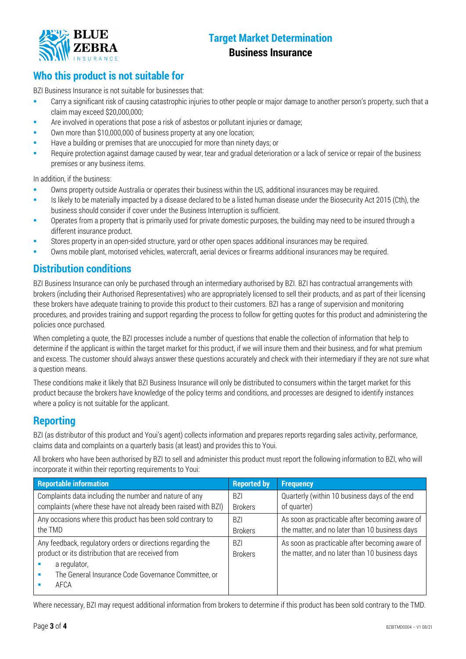

#### **Business Insurance**

## **Who this product is not suitable for**

BZI Business Insurance is not suitable for businesses that:

- Carry a significant risk of causing catastrophic injuries to other people or major damage to another person's property, such that a claim may exceed \$20,000,000;
- Are involved in operations that pose a risk of asbestos or pollutant injuries or damage;
- Own more than \$10,000,000 of business property at any one location;
- Have a building or premises that are unoccupied for more than ninety days; or
- Require protection against damage caused by wear, tear and gradual deterioration or a lack of service or repair of the business premises or any business items.

In addition, if the business:

- Owns property outside Australia or operates their business within the US, additional insurances may be required.
- Is likely to be materially impacted by a disease declared to be a listed human disease under the Biosecurity Act 2015 (Cth), the business should consider if cover under the Business Interruption is sufficient.
- Operates from a property that is primarily used for private domestic purposes, the building may need to be insured through a different insurance product.
- Stores property in an open-sided structure, yard or other open spaces additional insurances may be required.
- Owns mobile plant, motorised vehicles, watercraft, aerial devices or firearms additional insurances may be required.

## **Distribution conditions**

BZI Business Insurance can only be purchased through an intermediary authorised by BZI. BZI has contractual arrangements with brokers (including their Authorised Representatives) who are appropriately licensed to sell their products, and as part of their licensing these brokers have adequate training to provide this product to their customers. BZI has a range of supervision and monitoring procedures, and provides training and support regarding the process to follow for getting quotes for this product and administering the policies once purchased.

When completing a quote, the BZI processes include a number of questions that enable the collection of information that help to determine if the applicant is within the target market for this product, if we will insure them and their business, and for what premium and excess. The customer should always answer these questions accurately and check with their intermediary if they are not sure what a question means.

These conditions make it likely that BZI Business Insurance will only be distributed to consumers within the target market for this product because the brokers have knowledge of the policy terms and conditions, and processes are designed to identify instances where a policy is not suitable for the applicant.

## **Reporting**

BZI (as distributor of this product and Youi's agent) collects information and prepares reports regarding sales activity, performance, claims data and complaints on a quarterly basis (at least) and provides this to Youi.

All brokers who have been authorised by BZI to sell and administer this product must report the following information to BZI, who will incorporate it within their reporting requirements to Youi:

| <b>Reportable information</b>                                                                                                                                                                    | <b>Reported by</b>           | <b>Frequency</b>                                                                                 |
|--------------------------------------------------------------------------------------------------------------------------------------------------------------------------------------------------|------------------------------|--------------------------------------------------------------------------------------------------|
| Complaints data including the number and nature of any                                                                                                                                           | <b>BZI</b>                   | Quarterly (within 10 business days of the end                                                    |
| complaints (where these have not already been raised with BZI)                                                                                                                                   | <b>Brokers</b>               | of quarter)                                                                                      |
| Any occasions where this product has been sold contrary to                                                                                                                                       | <b>BZI</b>                   | As soon as practicable after becoming aware of                                                   |
| the TMD                                                                                                                                                                                          | <b>Brokers</b>               | the matter, and no later than 10 business days                                                   |
| Any feedback, regulatory orders or directions regarding the<br>product or its distribution that are received from<br>a regulator,<br>The General Insurance Code Governance Committee, or<br>AFCA | <b>BZI</b><br><b>Brokers</b> | As soon as practicable after becoming aware of<br>the matter, and no later than 10 business days |

Where necessary, BZI may request additional information from brokers to determine if this product has been sold contrary to the TMD.